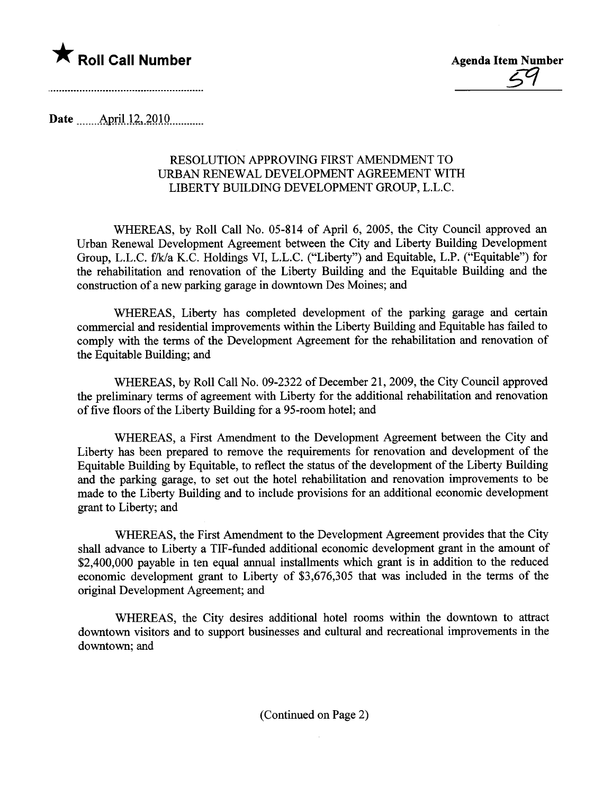

<u>54</u>

Date ......\_.Amil.i-i..iQlQ.u.........

## RESOLUTION APPROVING FIRST AMENDMENT TO URBAN RENEWAL DEVELOPMENT AGREEMENT WITH LIBERTY BUILDING DEVELOPMENT GROUP, L.L.C.

WHEREAS, by Roll Call No. 05-814 of April 6, 2005, the City Council approved an Urban Renewal Development Agreement between the City and Liberty Building Development Group, L.L.C. f/k/a K.C. Holdings VI, L.L.C. ("Liberty") and Equitable, L.P. ("Equitable") for the rehabilitation and renovation of the Liberty Building and the Equitable Building and the construction of a new parking garage in downtown Des Moines; and

WHEREAS, Liberty has completed development of the parking garage and certain commercial and residential improvements within the Liberty Building and Equitable has failed to comply with the terms of the Development Agreement for the rehabilitation and renovation of the Equitable Building; and

WHEREAS, by Roll Call No. 09-2322 of December 21,2009, the City Council approved the preliminary terms of agreement with Liberty for the additional rehabilitation and renovation of five floors of the Liberty Building for a 95-room hotel; and

WHEREAS, a First Amendment to the Development Agreement between the City and Liberty has been prepared to remove the requirements for renovation and development of the Equitable Building by Equitable, to reflect the status of the development of the Liberty Building and the parking garage, to set out the hotel rehabiltation and renovation improvements to be made to the Liberty Building and to include provisions for an additional economic development grant to Liberty; and

WHEREAS, the First Amendment to the Development Agreement provides that the City shall advance to Liberty a TIF-funded additional economic development grant in the amount of \$2,400,000 payable in ten equal annual installments which grant is in addition to the reduced economic development grant to Liberty of \$3,676,305 that was included in the terms of the original Development Agreement; and

WHEREAS, the City desires additional hotel rooms within the downtown to attract downtown visitors and to support businesses and cultual and recreational improvements in the downtown; and

(Continued on Page 2)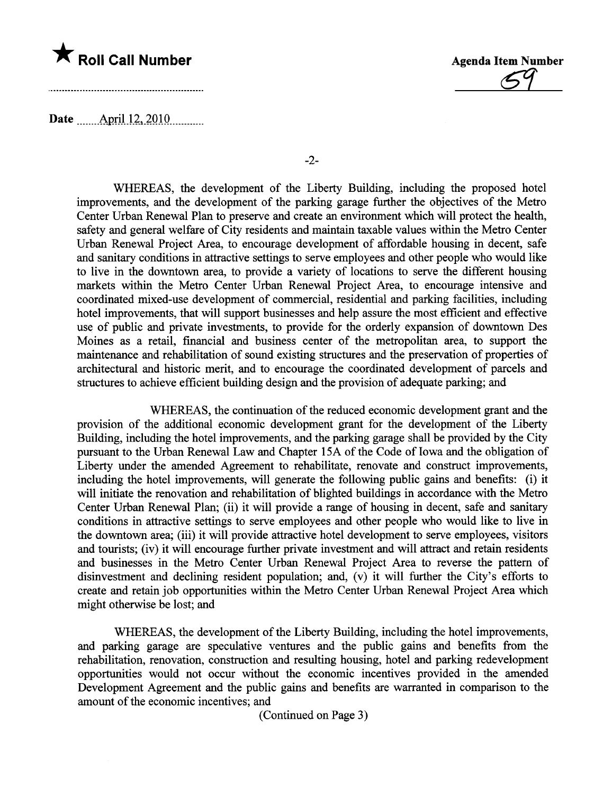

\* Roll Call Number<br>Agenda Item Number<br>C9

Date **manufact** April 12, 2010

-2-

WHEREAS, the development of the Liberty Building, including the proposed hotel improvements, and the development of the parking garage further the objectives of the Metro Center Urban Renewal Plan to preserve and create an environment which will protect the health, safety and general welfare of City residents and maintain taxable values within the Metro Center Urban Renewal Project Area, to encourage development of affordable housing in decent, safe and sanitary conditions in attractive settings to serve employees and other people who would like to live in the downtown area, to provide a varety of locations to serve the different housing markets within the Metro Center Urban Renewal Project Area, to encourage intensive and coordinated mixed-use development of commercial, residential and parking facilties, including hotel improvements, that will support businesses and help assure the most efficient and effective use of public and private investments, to provide for the orderly expansion of downtown Des Moines as a retail, financial and business center of the metropolitan area, to support the maintenance and rehabiltation of sound existing structues and the preservation of properties of architectual and historic merit, and to encourage the coordinated development of parcels and structures to achieve efficient building design and the provision of adequate parking; and

WHEREAS, the continuation of the reduced economic development grant and the provision of the additional economic development grant for the development of the Liberty Building, including the hotel improvements, and the parking garage shall be provided by the City pursuant to the Urban Renewal Law and Chapter 15A of the Code of Iowa and the obligation of Liberty under the amended Agreement to rehabilitate, renovate and construct improvements, including the hotel improvements, will generate the following public gains and benefits: (i) it will initiate the renovation and rehabilitation of blighted buildings in accordance with the Metro Center Urban Renewal Plan; (ii) it will provide a range of housing in decent, safe and sanitary conditions in attactive settings to serve employees and other people who would like to live in the downtown area; (iii) it will provide attractive hotel development to serve employees, visitors and tourists; (iv) it will encourage further private investment and will attract and retain residents and businesses in the Metro Center Urban Renewal Project Area to reverse the pattern of disinvestment and declining resident population; and,  $(v)$  it will further the City's efforts to create and retain job opportunities within the Metro Center Urban Renewal Project Area which might otherwise be lost; and

WHEREAS, the development of the Liberty Building, including the hotel improvements, and parking garage are speculative ventures and the public gains and benefits from the rehabilitation, renovation, construction and resulting housing, hotel and parking redevelopment opportunities would not occur without the economic incentives provided in the amended Development Agreement and the public gains and benefits are warranted in comparison to the amount of the economic incentives; and

(Continued on Page 3)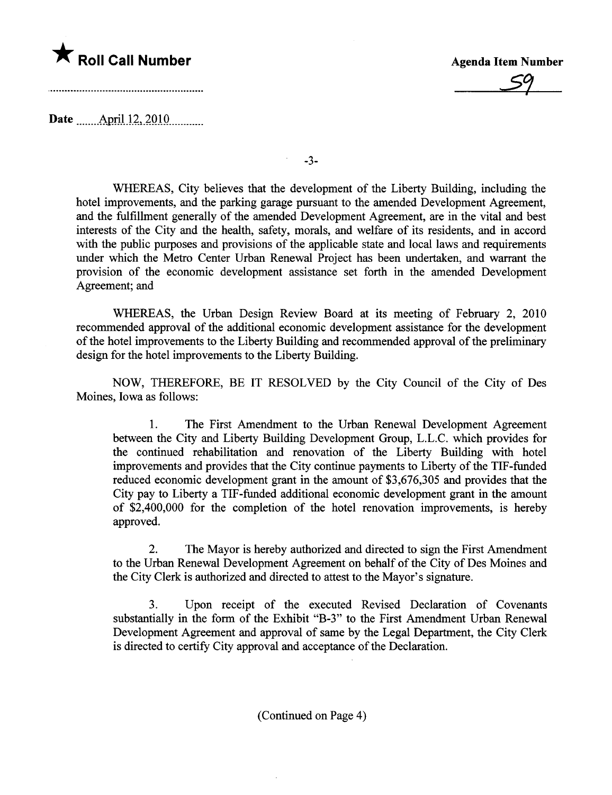

 $\frac{59}{59}$ 

Date **April 12, 2010** 

-3-

WHEREAS, City believes that the development of the Liberty Building, including the hotel improvements, and the parking garage pursuant to the amended Development Agreement, and the fulfillment generally of the amended Development Agreement, are in the vital and best interests of the City and the health, safety, morals, and welfare of its residents, and in accord with the public purposes and provisions of the applicable state and local laws and requirements under which the Metro Center Urban Renewal Project has been undertaken, and warant the provision of the economic development assistance set forth in the amended Development Agreement; and

WHEREAS, the Urban Design Review Board at its meeting of February 2, 2010 recommended approval of the additional economic development assistance for the development of the hotel improvements to the Liberty Building and recommended approval of the preliminar design for the hotel improvements to the Liberty Building.

NOW, THEREFORE, BE IT RESOLVED by the City Council of the City of Des Moines, Iowa as follows:

1. The First Amendment to the Urban Renewal Development Agreement between the City and Liberty Building Development Group, L.L.C. which provides for the continued rehabilitation and renovation of the Liberty Building with hotel improvements and provides that the City continue payments to Liberty of the TIF-fuded reduced economic development grant in the amount of \$3,676,305 and provides that the City pay to Liberty a TIF-funded additional economic development grant in the amount of \$2,400,000 for the completion of the hotel renovation improvements, is hereby approved.

2. The Mayor is hereby authorized and directed to sign the First Amendment to the Urban Renewal Development Agreement on behalf of the City of Des Moines and the City Clerk is authorized and directed to attest to the Mayor's signatue.

3. Upon receipt of the executed Revised Declaration of Covenants substatially in the form of the Exhibit "B-3" to the First Amendment Urban Renewal Development Agreement and approval of same by the Legal Deparment, the City Clerk is directed to certify City approval and acceptance of the Declaration.

(Continued on Page 4)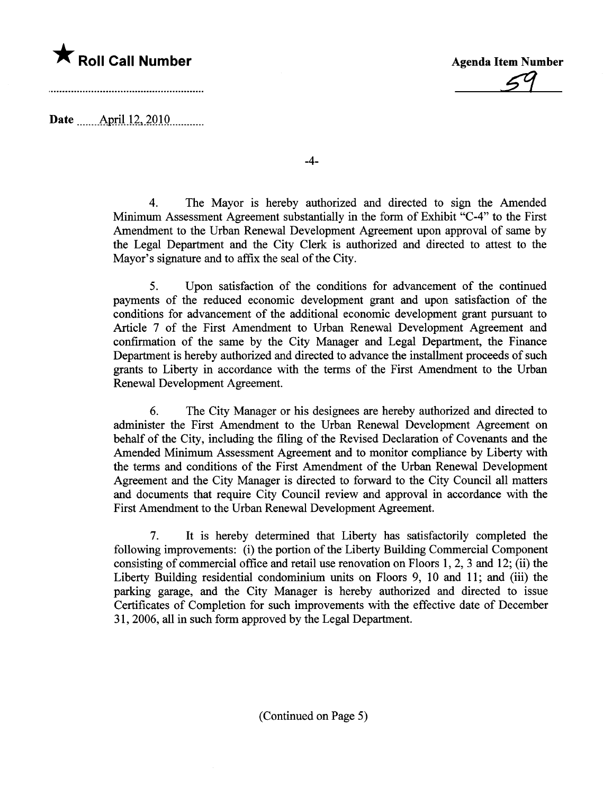

59

Date  $\ldots$  April 12, 2010

-4-

4. The Mayor is hereby authorized and directed to sign the Amended Minimum Assessment Agreement substantially in the form of Exhibit "C-4" to the First Amendment to the Urban Renewal Development Agreement upon approval of same by the Legal Deparment and the City Clerk is authorized and directed to attest to the Mayor's signature and to affix the seal of the City.

5. Upon satisfaction of the conditions for advancement of the continued payments of the reduced economic development grant and upon satisfaction of the conditions for advancement of the additional economic development grant pursuat to Aricle 7 of the First Amendment to Urban Renewal Development Agreement and confirmation of the same by the City Manager and Legal Deparment, the Finance Department is hereby authorized and directed to advance the installment proceeds of such grants to Liberty in accordance with the terms of the First Amendment to the Urban Renewal Development Agreement.

6. The City Manager or his designees are hereby authorized and directed to administer the First Amendment to the Urban Renewal Development Agreement on behalf of the City, including the filing of the Revised Declaration of Covenants and the Amended Minimum Assessment Agreement and to monitor compliance by Liberty with the terms and conditions of the First Amendment of the Urban Renewal Development Agreement and the City Manager is directed to forward to the City Council all matters and documents that require City Council review and approval in accordance with the First Amendment to the Urban Renewal Development Agreement.

7. It is hereby determined that Liberty has satisfactorily completed the following improvements: (i) the portion of the Liberty Building Commercial Component consisting of commercial office and retail use renovation on Floors 1,2,3 and 12; (ii) the Liberty Building residential condominium units on Floors 9, 10 and 11; and (iii) the parking garage, and the City Manager is hereby authorized and directed to issue Certificates of Completion for such improvements with the effective date of December 31, 2006, all in such form approved by the Legal Department.